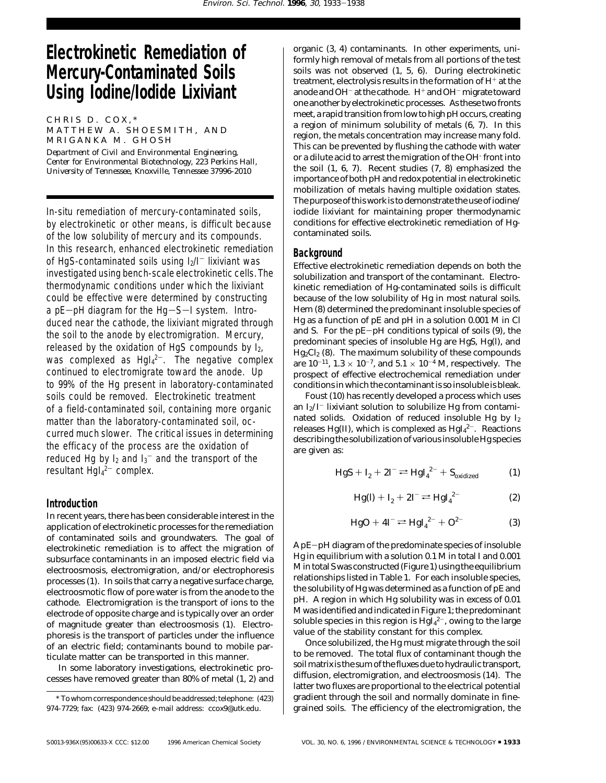# **Electrokinetic Remediation of Mercury-Contaminated Soils Using Iodine/Iodide Lixiviant**

 $CHRIS$  D.  $COX$ ,\*

MATTHEW A. SHOESMITH, AND MRIGANKA M. GHOSH

*Department of Civil and Environmental Engineering, Center for Environmental Biotechnology, 223 Perkins Hall, University of Tennessee, Knoxville, Tennessee 37996-2010*

In-situ remediation of mercury-contaminated soils, by electrokinetic or other means, is difficult because of the low solubility of mercury and its compounds. In this research, enhanced electrokinetic remediation of HgS-contaminated soils using  $I_2/I^-$  lixiviant was investigated using bench-scale electrokinetic cells. The thermodynamic conditions under which the lixiviant could be effective were determined by constructing a  $pE-pH$  diagram for the  $Hg-S-I$  system. Introduced near the cathode, the lixiviant migrated through the soil to the anode by electromigration. Mercury, released by the oxidation of HgS compounds by  $I_{2i}$ was complexed as  $Hgl_4^{2-}$ . The negative complex continued to electromigrate toward the anode. Up to 99% of the Hg present in laboratory-contaminated soils could be removed. Electrokinetic treatment of a field-contaminated soil, containing more organic matter than the laboratory-contaminated soil, occurred much slower. The critical issues in determining the efficacy of the process are the oxidation of reduced Hg by  $I_2$  and  $I_3^-$  and the transport of the resultant Hgl<sub>4</sub><sup>2-</sup> complex.

### **Introduction**

In recent years, there has been considerable interest in the application of electrokinetic processes for the remediation of contaminated soils and groundwaters. The goal of electrokinetic remediation is to affect the migration of subsurface contaminants in an imposed electric field via electroosmosis, electromigration, and/or electrophoresis processes (*1*). In soils that carry a negative surface charge, electroosmotic flow of pore water is from the anode to the cathode. Electromigration is the transport of ions to the electrode of opposite charge and is typically over an order of magnitude greater than electroosmosis (*1*). Electrophoresis is the transport of particles under the influence of an electric field; contaminants bound to mobile particulate matter can be transported in this manner.

In some laboratory investigations, electrokinetic processes have removed greater than 80% of metal (*1*, *2*) and organic (*3*, *4*) contaminants. In other experiments, uniformly high removal of metals from all portions of the test soils was not observed (*1*, *5*, *6*). During electrokinetic treatment, electrolysis results in the formation of H<sup>+</sup> at the anode and OH<sup>-</sup> at the cathode. H<sup>+</sup> and OH<sup>-</sup> migrate toward one another by electrokinetic processes. As these two fronts meet, a rapid transition from low to high pH occurs, creating a region of minimum solubility of metals (*6*, *7*). In this region, the metals concentration may increase many fold. This can be prevented by flushing the cathode with water or a dilute acid to arrest the migration of the OH- front into the soil (*1*, *6*, *7*). Recent studies (*7*, *8*) emphasized the importance of both pH and redox potential in electrokinetic mobilization of metals having multiple oxidation states. The purpose of this work is to demonstrate the use of iodine/ iodide lixiviant for maintaining proper thermodynamic conditions for effective electrokinetic remediation of Hgcontaminated soils.

#### **Background**

Effective electrokinetic remediation depends on both the solubilization and transport of the contaminant. Electrokinetic remediation of Hg-contaminated soils is difficult because of the low solubility of Hg in most natural soils. Hem (*8*) determined the predominant insoluble species of Hg as a function of pE and pH in a solution 0.001 M in Cl and S. For the pE-pH conditions typical of soils (*9*), the predominant species of insoluble Hg are HgS, Hg(l), and Hg<sub>2</sub>Cl<sub>2</sub> (8). The maximum solubility of these compounds are  $10^{-11}$ ,  $1.3 \times 10^{-7}$ , and  $5.1 \times 10^{-4}$  M, respectively. The prospect of effective electrochemical remediation under conditions in which the contaminant is so insoluble is bleak.

Foust (*10*) has recently developed a process which uses an  $I_2/I^-$  lixiviant solution to solubilize Hg from contaminated solids. Oxidation of reduced insoluble Hg by  $I_2$ releases Hg(II), which is complexed as  $\rm HgI_4{}^{2-}$ . Reactions describing the solubilization of various insoluble Hg species are given as:

$$
HgS + I_2 + 2I^- \rightleftharpoons HgI_4^{2-} + S_{\text{oxidized}} \tag{1}
$$

$$
Hg(l) + I_2 + 2I^- \rightleftarrows HgI_4^{2-}
$$
 (2)

$$
HgO + 4I^- \rightleftharpoons HgI_4^{2-} + O^{2-}
$$
 (3)

A pE-pH diagram of the predominate species of insoluble Hg in equilibrium with a solution 0.1 M in total I and 0.001 M in total S was constructed (Figure 1) using the equilibrium relationships listed in Table 1. For each insoluble species, the solubility of Hg was determined as a function of pE and pH. A region in which Hg solubility was in excess of 0.01 M was identified and indicated in Figure 1; the predominant soluble species in this region is  $\operatorname{Hgl_4}^{2-}$ , owing to the large value of the stability constant for this complex.

Once solubilized, the Hg must migrate through the soil to be removed. The total flux of contaminant though the soil matrix is the sum of the fluxes due to hydraulic transport, diffusion, electromigration, and electroosmosis (*14*). The latter two fluxes are proportional to the electrical potential gradient through the soil and normally dominate in finegrained soils. The efficiency of the electromigration, the

<sup>\*</sup> To whom correspondence should be addressed; telephone: (423) 974-7729; fax: (423) 974-2669; e-mail address: ccox9@utk.edu.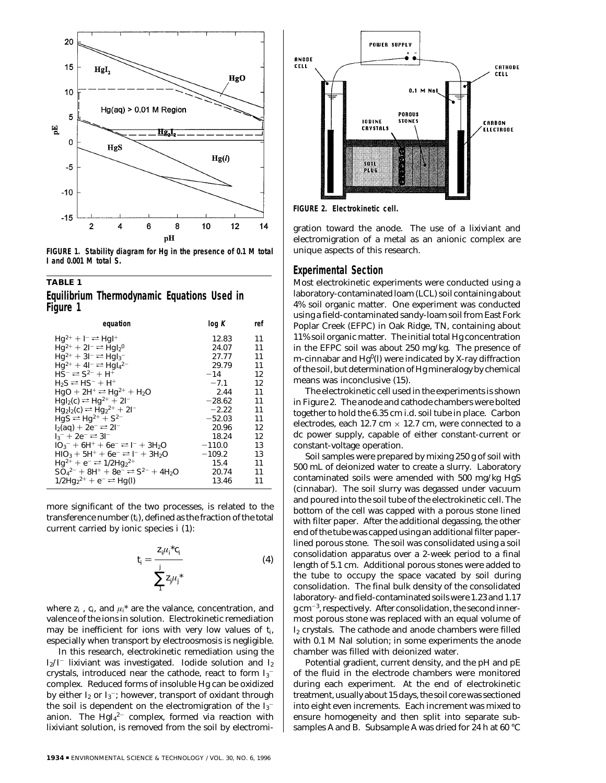

**FIGURE 1. Stability diagram for Hg in the presence of 0.1 M total I and 0.001 M total S.**

## **TABLE 1 Equilibrium Thermodynamic Equations Used in**

**Figure 1**

| equation                                                                                                   | log K    | ref |
|------------------------------------------------------------------------------------------------------------|----------|-----|
| $Hq^{2+} + I^- \rightleftharpoons HqI^+$                                                                   | 12.83    | 11  |
| $Hq^{2+} + 2I^{-} \rightleftharpoons HqI_{2}^{0}$                                                          | 24.07    | 11  |
| $Hq^{2+} + 3l^{-} \rightleftarrows HqI_3^{-}$                                                              | 27.77    | 11  |
| $Hq^{2+} + 4l^{-} \rightleftharpoons HqI42-$                                                               | 29.79    | 11  |
| $HS^{-} \rightleftarrows$ $S^{2-} + H^{+}$                                                                 | $-14$    | 12  |
| $H_2S \rightleftarrows HS^- + H^+$                                                                         | $-7.1$   | 12  |
| $HqO + 2H^+ \rightleftharpoons Hq^{2+} + H_2O$                                                             | 2.44     | 11  |
| $Hgl2(c) \rightleftarrows Hgl2 + 2I-$                                                                      | $-28.62$ | 11  |
| $Hg_2I_2(c) \rightleftarrows Hg_2^{2+} + 2I^{-}$                                                           | $-2.22$  | 11  |
| $HgS \rightleftarrows Hg^{2+} + S^{2-}$                                                                    | $-52.03$ | 11  |
| $12(aq) + 2e^- \rightleftharpoons 21^-$                                                                    | 20.96    | 12  |
| $13^{-} + 2e^{-} \rightleftharpoons 31^{-}$                                                                | 18.24    | 12  |
| $103^-$ + 6H <sup>+</sup> + 6e <sup>-</sup> = 1 <sup>-</sup> + 3H <sub>2</sub> O                           | $-110.0$ | 13  |
| $HIO3 + 5H+ + 6e- \rightleftharpoons I- + 3H2O$                                                            | $-109.2$ | 13  |
| $Hq^{2+} + e^- \rightleftharpoons 1/2Hq_2^{2+}$                                                            | 15.4     | 11  |
| $SO_4{}^{2-}$ + 8H <sup>+</sup> + 8e <sup>-</sup> $\rightleftharpoons$ S <sup>2-</sup> + 4H <sub>2</sub> O | 20.74    | 11  |
| $1/2Hq_2^{2+} + e^- \rightleftharpoons Hq(l)$                                                              | 13.46    | 11  |

more significant of the two processes, is related to the transference number (*ti*), defined as the fraction of the total current carried by ionic species *i* (*1*):

$$
t_i = \frac{z_i \mu_i^* c_i}{\sum_{i=1}^{j} z_i \mu_j^*}
$$
 (4)

where  $z_i$ ,  $c_i$ , and  $\mu_i^*$  are the valance, concentration, and valence of the ions in solution. Electrokinetic remediation may be inefficient for ions with very low values of *ti*, especially when transport by electroosmosis is negligible.

In this research, electrokinetic remediation using the  $I_2/I^-$  lixiviant was investigated. Iodide solution and  $I_2$ crystals, introduced near the cathode, react to form  $\mathrm{I_3}^$ complex. Reduced forms of insoluble Hg can be oxidized by either  $\mathrm{I}_2$  or  $\mathrm{I}_3^-$ ; however, transport of oxidant through the soil is dependent on the electromigration of the  $I_3^$ anion. The  $\rm Hg I_4{}^{2-}$  complex, formed via reaction with lixiviant solution, is removed from the soil by electromi-



**FIGURE 2. Electrokinetic cell.**

gration toward the anode. The use of a lixiviant and electromigration of a metal as an anionic complex are unique aspects of this research.

#### **Experimental Section**

Most electrokinetic experiments were conducted using a laboratory-contaminated loam (LCL) soil containing about 4% soil organic matter. One experiment was conducted using a field-contaminated sandy-loam soil from East Fork Poplar Creek (EFPC) in Oak Ridge, TN, containing about 11% soil organic matter. The initial total Hg concentration in the EFPC soil was about 250 mg/kg. The presence of *m*-cinnabar and Hg<sup>0</sup>(l) were indicated by X-ray diffraction of the soil, but determination of Hg mineralogy by chemical means was inconclusive (*15*).

The electrokinetic cell used in the experiments is shown in Figure 2. The anode and cathode chambers were bolted together to hold the 6.35 cm i.d. soil tube in place. Carbon electrodes, each 12.7 cm  $\times$  12.7 cm, were connected to a dc power supply, capable of either constant-current or constant-voltage operation.

Soil samples were prepared by mixing 250 g of soil with 500 mL of deionized water to create a slurry. Laboratory contaminated soils were amended with 500 mg/kg HgS (cinnabar). The soil slurry was degassed under vacuum and poured into the soil tube of the electrokinetic cell. The bottom of the cell was capped with a porous stone lined with filter paper. After the additional degassing, the other end of the tube was capped using an additional filter paperlined porous stone. The soil was consolidated using a soil consolidation apparatus over a 2-week period to a final length of 5.1 cm. Additional porous stones were added to the tube to occupy the space vacated by soil during consolidation. The final bulk density of the consolidated laboratory- and field-contaminated soils were 1.23 and 1.17  $g \, \text{cm}^{-3}$ , respectively. After consolidation, the second innermost porous stone was replaced with an equal volume of I2 crystals. The cathode and anode chambers were filled with 0.1 M NaI solution; in some experiments the anode chamber was filled with deionized water.

Potential gradient, current density, and the pH and pE of the fluid in the electrode chambers were monitored during each experiment. At the end of electrokinetic treatment, usually about 15 days, the soil core was sectioned into eight even increments. Each increment was mixed to ensure homogeneity and then split into separate subsamples A and B. Subsample A was dried for 24 h at 60 °C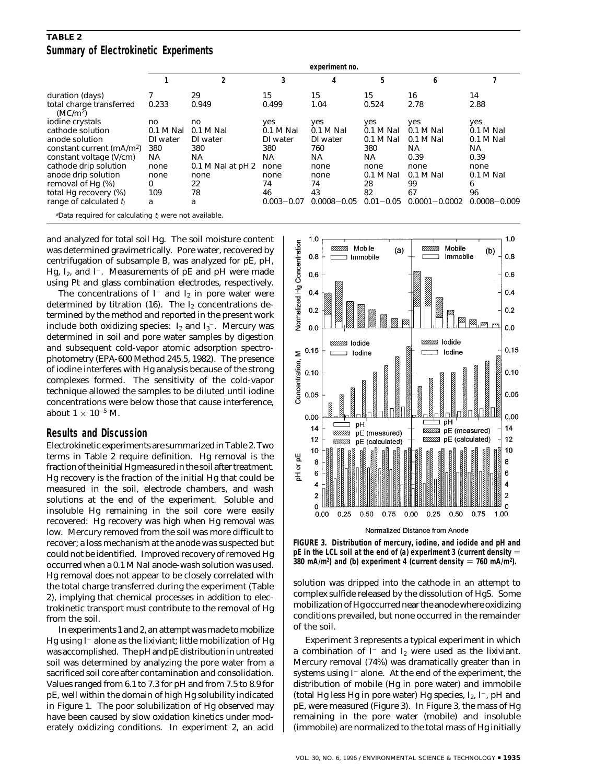## **TABLE 2 Summary of Electrokinetic Experiments**

|                                                                      | experiment no. |                   |                |                 |               |                   |                  |  |  |
|----------------------------------------------------------------------|----------------|-------------------|----------------|-----------------|---------------|-------------------|------------------|--|--|
|                                                                      |                | 2                 | 3              |                 | 5             | 6                 |                  |  |  |
| duration (days)                                                      |                | 29                | 15             | 15              | 15            | 16                | 14               |  |  |
| total charge transferred<br>(MC/m <sup>2</sup> )                     | 0.233          | 0.949             | 0.499          | 1.04            | 0.524         | 2.78              | 2.88             |  |  |
| iodine crystals                                                      | no             | no                | yes            | yes             | yes           | yes               | yes              |  |  |
| cathode solution                                                     | $0.1 M$ Nal    | $0.1 M$ Nal       | $0.1 M$ Nal    | $0.1 M$ Nal     | $0.1 M$ Nal   | $0.1 M$ Nal       | $0.1 M$ Nal      |  |  |
| anode solution                                                       | DI water       | DI water          | DI water       | DI water        | 0.1 M Nal     | $0.1 M$ Nal       | 0.1 M Nal        |  |  |
| constant current (mA/m <sup>2</sup> )                                | 380            | 380               | 380            | 760             | 380           | NA.               | NA.              |  |  |
| constant voltage (V/cm)                                              | NA             | ΝA                | NA             | NA              | NA            | 0.39              | 0.39             |  |  |
| cathode drip solution                                                | none           | 0.1 M Nal at pH 2 | none           | none            | none          | none              | none             |  |  |
| anode drip solution                                                  | none           | none              | none           | none            | $0.1 M$ Nal   | $0.1 M$ Nal       | 0.1 M Nal        |  |  |
| removal of Hg (%)                                                    | 0              | 22                | 74             | 74              | 28            | 99                | 6                |  |  |
| total Hg recovery (%)                                                | 109            | 78                | 46             | 43              | 82            | 67                | 96               |  |  |
| range of calculated $t_i$                                            | a              | a                 | $0.003 - 0.07$ | $0.0008 - 0.05$ | $0.01 - 0.05$ | $0.0001 - 0.0002$ | $0.0008 - 0.009$ |  |  |
| <sup>a</sup> Data required for calculating $t_i$ were not available. |                |                   |                |                 |               |                   |                  |  |  |

and analyzed for total soil Hg. The soil moisture content was determined gravimetrically. Pore water, recovered by centrifugation of subsample B, was analyzed for pE, pH, Hg,  $I_2$ , and  $I^-$ . Measurements of pE and pH were made using Pt and glass combination electrodes, respectively.

The concentrations of  $I^-$  and  $I_2$  in pore water were determined by titration  $(16)$ . The I<sub>2</sub> concentrations determined by the method and reported in the present work include both oxidizing species:  $\rm I_2$  and  $\rm I_3^-$ . Mercury was determined in soil and pore water samples by digestion and subsequent cold-vapor atomic adsorption spectrophotometry (EPA-600 Method 245.5, 1982). The presence of iodine interferes with Hg analysis because of the strong complexes formed. The sensitivity of the cold-vapor technique allowed the samples to be diluted until iodine concentrations were below those that cause interference, about  $1 \times 10^{-5}$  M.

#### **Results and Discussion**

Electrokinetic experiments are summarized in Table 2. Two terms in Table 2 require definition. Hg removal is the fraction of the initial Hg measured in the soil after treatment. Hg recovery is the fraction of the initial Hg that could be measured in the soil, electrode chambers, and wash solutions at the end of the experiment. Soluble and insoluble Hg remaining in the soil core were easily recovered: Hg recovery was high when Hg removal was low. Mercury removed from the soil was more difficult to recover; a loss mechanism at the anode was suspected but could not be identified. Improved recovery of removed Hg occurred when a 0.1 M NaI anode-wash solution was used. Hg removal does not appear to be closely correlated with the total charge transferred during the experiment (Table 2), implying that chemical processes in addition to electrokinetic transport must contribute to the removal of Hg from the soil.

In experiments 1 and 2, an attempt was made to mobilize Hg using  $I^-$  alone as the lixiviant; little mobilization of Hg was accomplished. The pH and pE distribution in untreated soil was determined by analyzing the pore water from a sacrificed soil core after contamination and consolidation. Values ranged from 6.1 to 7.3 for pH and from 7.5 to 8.9 for pE, well within the domain of high Hg solubility indicated in Figure 1. The poor solubilization of Hg observed may have been caused by slow oxidation kinetics under moderately oxidizing conditions. In experiment 2, an acid



**FIGURE 3. Distribution of mercury, iodine, and iodide and pH and pE in the LCL soil at the end of (a) experiment 3 (current density** ) 380 mA/m<sup>2</sup>) and (b) experiment 4 (current density = 760 mA/m<sup>2</sup>).

solution was dripped into the cathode in an attempt to complex sulfide released by the dissolution of HgS. Some mobilization of Hg occurred near the anode where oxidizing conditions prevailed, but none occurred in the remainder of the soil.

Experiment 3 represents a typical experiment in which a combination of  $I^-$  and  $I_2$  were used as the lixiviant. Mercury removal (74%) was dramatically greater than in systems using  $I^-$  alone. At the end of the experiment, the distribution of mobile (Hg in pore water) and immobile (total Hg less Hg in pore water) Hg species,  $I_2$ ,  $I^-$ , pH and pE, were measured (Figure 3). In Figure 3, the mass of Hg remaining in the pore water (mobile) and insoluble (immobile) are normalized to the total mass of Hg initially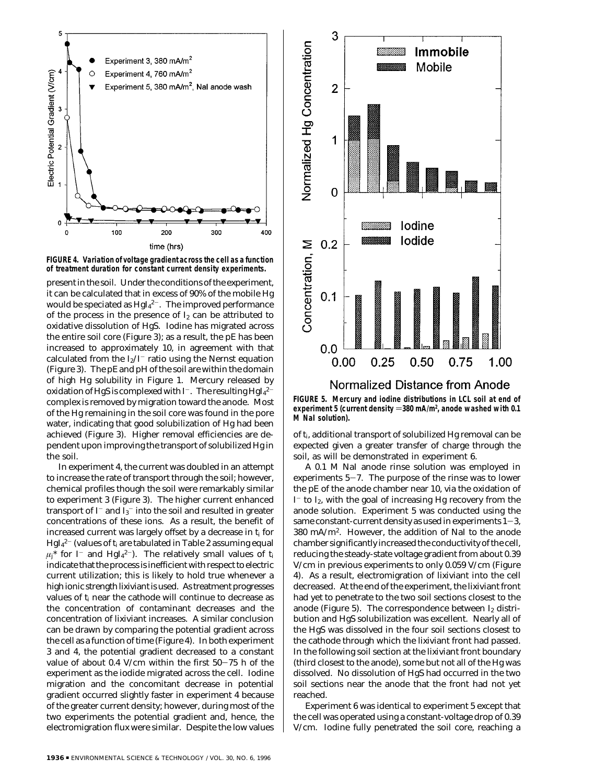



present in the soil. Under the conditions of the experiment, it can be calculated that in excess of 90% of the mobile Hg would be speciated as  $\rm HgI_{4}^{2-}.$  The improved performance of the process in the presence of  $I_2$  can be attributed to oxidative dissolution of HgS. Iodine has migrated across the entire soil core (Figure 3); as a result, the pE has been increased to approximately 10, in agreement with that calculated from the  $I_2/I^-$  ratio using the Nernst equation (Figure 3). The pE and pH of the soil are within the domain of high Hg solubility in Figure 1. Mercury released by oxidation of HgS is complexed with I $^-.$  The resulting HgI $_4{}^{2-}$ complex is removed by migration toward the anode. Most of the Hg remaining in the soil core was found in the pore water, indicating that good solubilization of Hg had been achieved (Figure 3). Higher removal efficiencies are dependent upon improving the transport of solubilized Hg in the soil.

In experiment 4, the current was doubled in an attempt to increase the rate of transport through the soil; however, chemical profiles though the soil were remarkably similar to experiment 3 (Figure 3). The higher current enhanced transport of I $^{\scriptscriptstyle -}$  and I $_3^{\scriptscriptstyle -}$  into the soil and resulted in greater concentrations of these ions. As a result, the benefit of increased current was largely offset by a decrease in *ti* for HgI4 <sup>2</sup>- (values of *ti* are tabulated in Table 2 assuming equal  $\mu j^*$  for I<sup>-</sup> and HgI<sub>4</sub><sup>2-</sup>). The relatively small values of  $t_i$ indicate that the process is inefficient with respect to electric current utilization; this is likely to hold true whenever a high ionic strength lixiviant is used. As treatment progresses values of *ti* near the cathode will continue to decrease as the concentration of contaminant decreases and the concentration of lixiviant increases. A similar conclusion can be drawn by comparing the potential gradient across the cell as a function of time (Figure 4). In both experiment 3 and 4, the potential gradient decreased to a constant value of about 0.4 V/cm within the first 50-75 h of the experiment as the iodide migrated across the cell. Iodine migration and the concomitant decrease in potential gradient occurred slightly faster in experiment 4 because of the greater current density; however, during most of the two experiments the potential gradient and, hence, the electromigration flux were similar. Despite the low values



## Normalized Distance from Anode

**FIGURE 5. Mercury and iodine distributions in LCL soil at end of** experiment 5 (current density =380 mA/m<sup>2</sup>, anode washed with 0.1<br>M\_Nal\_solution) **M NaI solution).**

of *ti*, additional transport of solubilized Hg removal can be expected given a greater transfer of charge through the soil, as will be demonstrated in experiment 6.

A 0.1 M NaI anode rinse solution was employed in experiments 5-7. The purpose of the rinse was to lower the pE of the anode chamber near 10, via the oxidation of  $I^-$  to  $I_2$ , with the goal of increasing Hg recovery from the anode solution. Experiment 5 was conducted using the same constant-current density as used in experiments  $1-3$ , 380 mA/m2. However, the addition of NaI to the anode chamber significantly increased the conductivity of the cell, reducing the steady-state voltage gradient from about 0.39 V/cm in previous experiments to only 0.059 V/cm (Figure 4). As a result, electromigration of lixiviant into the cell decreased. At the end of the experiment, the lixiviant front had yet to penetrate to the two soil sections closest to the anode (Figure 5). The correspondence between  $I_2$  distribution and HgS solubilization was excellent. Nearly all of the HgS was dissolved in the four soil sections closest to the cathode through which the lixiviant front had passed. In the following soil section at the lixiviant front boundary (third closest to the anode), some but not all of the Hg was dissolved. No dissolution of HgS had occurred in the two soil sections near the anode that the front had not yet reached.

Experiment 6 was identical to experiment 5 except that the cell was operated using a constant-voltage drop of 0.39 V/cm. Iodine fully penetrated the soil core, reaching a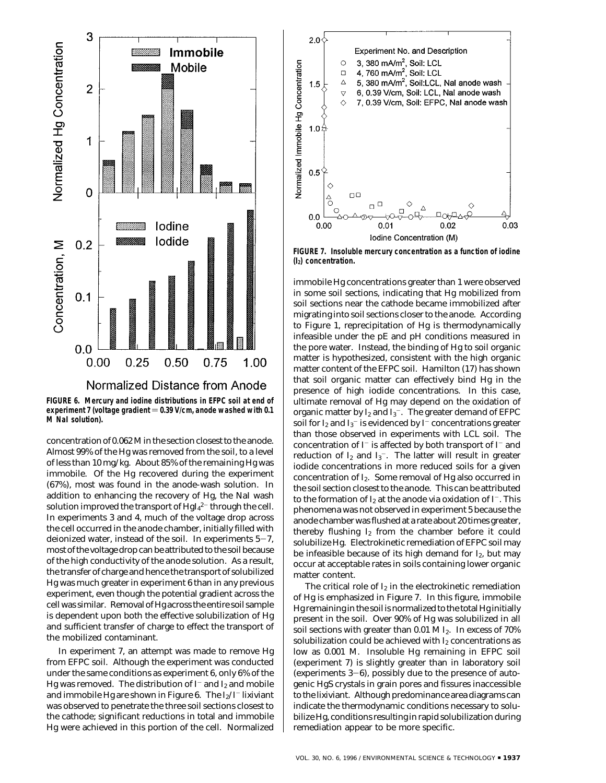

**FIGURE 6. Mercury and iodine distributions in EFPC soil at end of** experiment 7 (voltage gradient = 0.39 V/cm, anode washed with 0.1 **M NaI solution).**

concentration of 0.062 M in the section closest to the anode. Almost 99% of the Hg was removed from the soil, to a level of less than 10 mg/kg. About 85% of the remaining Hg was immobile. Of the Hg recovered during the experiment (67%), most was found in the anode-wash solution. In addition to enhancing the recovery of Hg, the NaI wash solution improved the transport of  $\mathrm{HgI_4}^{2-}$  through the cell. In experiments 3 and 4, much of the voltage drop across the cell occurred in the anode chamber, initially filled with deionized water, instead of the soil. In experiments  $5-7$ , most of the voltage drop can be attributed to the soil because of the high conductivity of the anode solution. As a result, the transfer of charge and hence the transport of solubilized Hg was much greater in experiment 6 than in any previous experiment, even though the potential gradient across the cell was similar. Removal of Hg across the entire soil sample is dependent upon both the effective solubilization of Hg and sufficient transfer of charge to effect the transport of the mobilized contaminant.

In experiment 7, an attempt was made to remove Hg from EFPC soil. Although the experiment was conducted under the same conditions as experiment 6, only 6% of the Hg was removed. The distribution of  $I^-$  and  $I_2$  and mobile and immobile Hg are shown in Figure 6. The  $I_2/I^-$  lixiviant was observed to penetrate the three soil sections closest to the cathode; significant reductions in total and immobile Hg were achieved in this portion of the cell. Normalized



**FIGURE 7. Insoluble mercury concentration as a function of iodine (I2) concentration.**

immobile Hg concentrations greater than 1 were observed in some soil sections, indicating that Hg mobilized from soil sections near the cathode became immobilized after migrating into soil sections closer to the anode. According to Figure 1, reprecipitation of Hg is thermodynamically infeasible under the pE and pH conditions measured in the pore water. Instead, the binding of Hg to soil organic matter is hypothesized, consistent with the high organic matter content of the EFPC soil. Hamilton (*17*) has shown that soil organic matter can effectively bind Hg in the presence of high iodide concentrations. In this case, ultimate removal of Hg may depend on the oxidation of organic matter by  $\mathrm{I}_2$  and  $\mathrm{I}_3^-$ . The greater demand of EFPC soil for I $_2$  and I $_3^-$  is evidenced by I $^-$  concentrations greater than those observed in experiments with LCL soil. The concentration of  $I^-$  is affected by both transport of  $I^-$  and reduction of  $\mathrm{I}_2$  and  $\mathrm{I}_3$  . The latter will result in greater iodide concentrations in more reduced soils for a given concentration of I2. Some removal of Hg also occurred in the soil section closest to the anode. This can be attributed to the formation of  $I_2$  at the anode via oxidation of  $I^-$ . This phenomena was not observed in experiment 5 because the anode chamber was flushed at a rate about 20 times greater, thereby flushing  $I_2$  from the chamber before it could solubilize Hg. Electrokinetic remediation of EFPC soil may be infeasible because of its high demand for  $I_2$ , but may occur at acceptable rates in soils containing lower organic matter content.

The critical role of  $I_2$  in the electrokinetic remediation of Hg is emphasized in Figure 7. In this figure, immobile Hg remaining in the soil is normalized to the total Hg initially present in the soil. Over 90% of Hg was solubilized in all soil sections with greater than 0.01 M I2. In excess of 70% solubilization could be achieved with  $I_2$  concentrations as low as 0.001 M. Insoluble Hg remaining in EFPC soil (experiment 7) is slightly greater than in laboratory soil (experiments  $3-6$ ), possibly due to the presence of autogenic HgS crystals in grain pores and fissures inaccessible to the lixiviant. Although predominance area diagrams can indicate the thermodynamic conditions necessary to solubilize Hg, conditions resulting in rapid solubilization during remediation appear to be more specific.